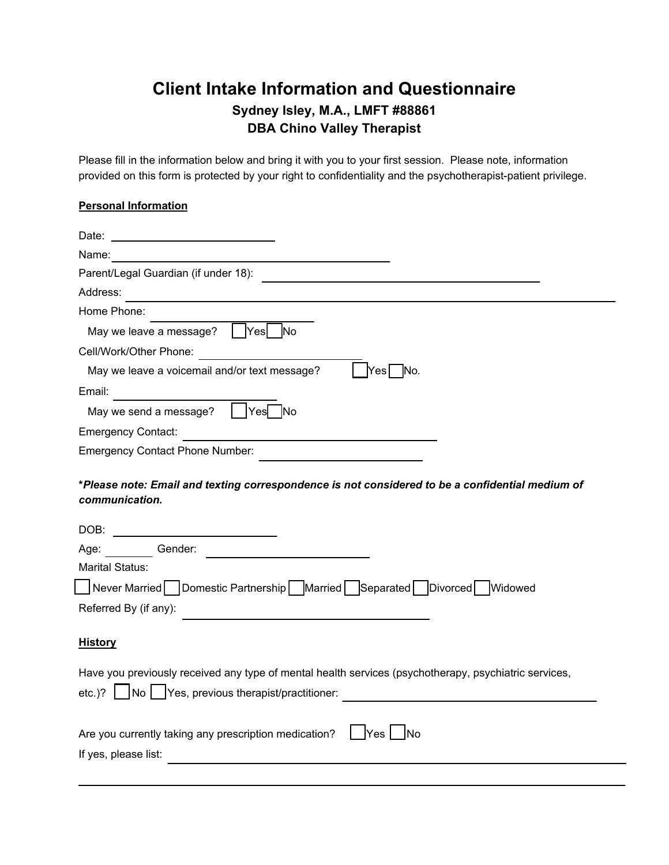## **Client Intake Information and Questionnaire Sydney Isley, M.A., LMFT #88861 DBA Chino Valley Therapist**

Please fill in the information below and bring it with you to your first session. Please note, information provided on this form is protected by your right to confidentiality and the psychotherapist-patient privilege.

## **Personal Information**

| Name:                                                                                                                                                                                                                                                                                                                                                                                                                                                                                                  |
|--------------------------------------------------------------------------------------------------------------------------------------------------------------------------------------------------------------------------------------------------------------------------------------------------------------------------------------------------------------------------------------------------------------------------------------------------------------------------------------------------------|
| Parent/Legal Guardian (if under 18):                                                                                                                                                                                                                                                                                                                                                                                                                                                                   |
| Address:                                                                                                                                                                                                                                                                                                                                                                                                                                                                                               |
| Home Phone:                                                                                                                                                                                                                                                                                                                                                                                                                                                                                            |
| Yes No<br>May we leave a message?                                                                                                                                                                                                                                                                                                                                                                                                                                                                      |
| Cell/Work/Other Phone:<br><u> 1980 - Jan Barat III, martx</u>                                                                                                                                                                                                                                                                                                                                                                                                                                          |
| May we leave a voicemail and/or text message?<br> Yes∏ No.                                                                                                                                                                                                                                                                                                                                                                                                                                             |
| Email:                                                                                                                                                                                                                                                                                                                                                                                                                                                                                                 |
| Yes No<br>May we send a message?                                                                                                                                                                                                                                                                                                                                                                                                                                                                       |
| <b>Emergency Contact:</b>                                                                                                                                                                                                                                                                                                                                                                                                                                                                              |
| <b>Emergency Contact Phone Number:</b>                                                                                                                                                                                                                                                                                                                                                                                                                                                                 |
| *Please note: Email and texting correspondence is not considered to be a confidential medium of<br>communication.<br>Age: Gender:<br><u>and the community of the community of the community of the community of the community of the community of the community of the community of the community of the community of the community of the community of the community</u><br><b>Marital Status:</b><br>■Never Married Domestic Partnership Married Separated Divorced Widowed<br>Referred By (if any): |
| <b>History</b>                                                                                                                                                                                                                                                                                                                                                                                                                                                                                         |
| Have you previously received any type of mental health services (psychotherapy, psychiatric services,<br>etc.)?   No   Yes, previous therapist/practitioner:                                                                                                                                                                                                                                                                                                                                           |
| Are you currently taking any prescription medication?<br><b>INo</b><br><b>Yes</b><br>If yes, please list:                                                                                                                                                                                                                                                                                                                                                                                              |
|                                                                                                                                                                                                                                                                                                                                                                                                                                                                                                        |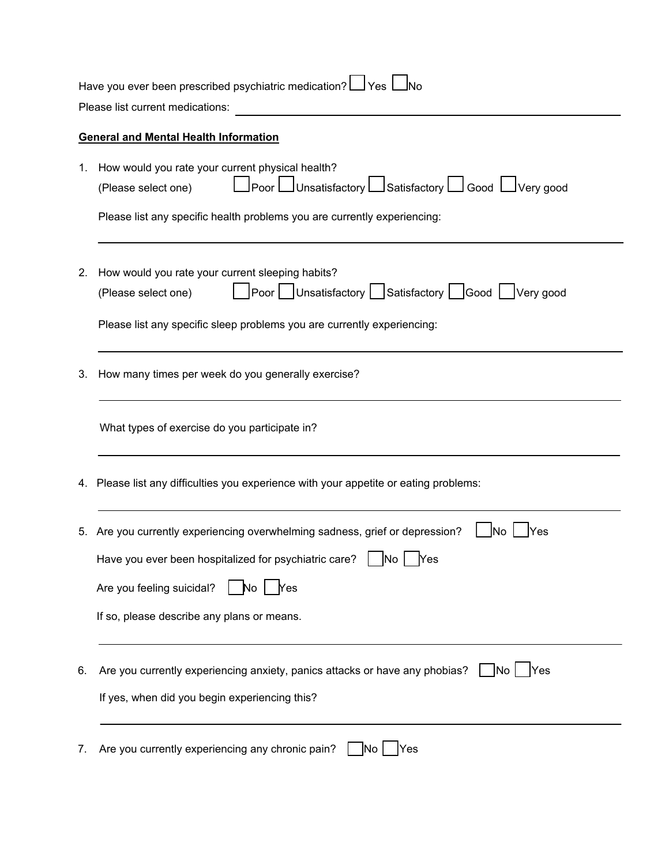| Have you ever been prescribed psychiatric medication? LVes l<br>Please list current medications: |                                                                                                                                                   |  |  |  |
|--------------------------------------------------------------------------------------------------|---------------------------------------------------------------------------------------------------------------------------------------------------|--|--|--|
|                                                                                                  | <b>General and Mental Health Information</b>                                                                                                      |  |  |  |
| 1.                                                                                               | How would you rate your current physical health?<br>Loor Lunsatisfactory Lunsatisfactory Lungood Lunery good<br>(Please select one)               |  |  |  |
|                                                                                                  | Please list any specific health problems you are currently experiencing:                                                                          |  |  |  |
| 2.                                                                                               | How would you rate your current sleeping habits?<br>Poor Unsatisfactory Satisfactory Good Uvery good<br>(Please select one)                       |  |  |  |
|                                                                                                  | Please list any specific sleep problems you are currently experiencing:                                                                           |  |  |  |
| 3.                                                                                               | How many times per week do you generally exercise?                                                                                                |  |  |  |
|                                                                                                  | What types of exercise do you participate in?                                                                                                     |  |  |  |
|                                                                                                  | 4. Please list any difficulties you experience with your appetite or eating problems:                                                             |  |  |  |
|                                                                                                  | 5. Are you currently experiencing overwhelming sadness, grief or depression?<br>lNo<br>Yes                                                        |  |  |  |
|                                                                                                  | Have you ever been hospitalized for psychiatric care?   No   Yes                                                                                  |  |  |  |
|                                                                                                  | Are you feeling suicidal?<br><b>Yes</b><br>No.                                                                                                    |  |  |  |
|                                                                                                  | If so, please describe any plans or means.                                                                                                        |  |  |  |
| 6.                                                                                               | Are you currently experiencing anxiety, panics attacks or have any phobias?<br><b>INo</b><br>Yes<br>If yes, when did you begin experiencing this? |  |  |  |
| 7.                                                                                               | Are you currently experiencing any chronic pain?<br> No<br>Yes                                                                                    |  |  |  |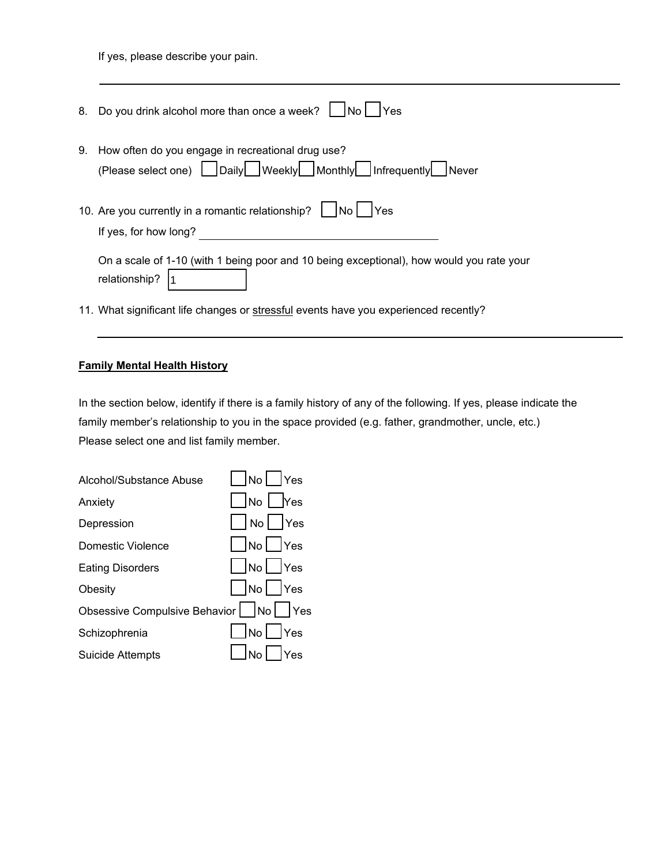If yes, please describe your pain.

| 8. | Do you drink alcohol more than once a week? $\vert$<br> No <br>Yes                                                         |
|----|----------------------------------------------------------------------------------------------------------------------------|
| 9. | How often do you engage in recreational drug use?<br>(Please select one)   Daily   Weekly   Monthly   Infrequently   Never |
|    | 10. Are you currently in a romantic relationship?<br><b>Yes</b><br>If yes, for how long?                                   |
|    | On a scale of 1-10 (with 1 being poor and 10 being exceptional), how would you rate your<br>relationship?                  |
|    | 11. What significant life changes or stressful events have you experienced recently?                                       |

## **Family Mental Health History**

In the section below, identify if there is a family history of any of the following. If yes, please indicate the family member's relationship to you in the space provided (e.g. father, grandmother, uncle, etc.) Please select one and list family member.

| Alcohol/Substance Abuse                | INol IYes                      |
|----------------------------------------|--------------------------------|
| Anxiety                                | $\Box$ No $\Box$ Yes           |
| Depression                             | $\Box$ No $\Box$ Yes           |
| Domestic Violence                      | $\vert$ $\vert$ No $\vert$ Yes |
| <b>Eating Disorders</b>                | $\Box$ No $\Box$ Yes           |
| Obesity                                | $\Box$ No $\Box$ Yes           |
| Obsessive Compulsive Behavior   No Yes |                                |
| Schizophrenia                          | $\vert$ $\vert$ No $\vert$ Yes |
| <b>Suicide Attempts</b>                | $\Box$ No $\Box$ Yes           |